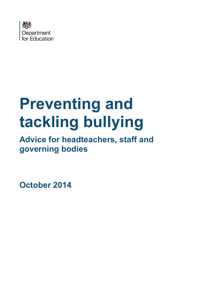

# **Preventing and tackling bullying**

**Advice for headteachers, staff and governing bodies**

**October 2014**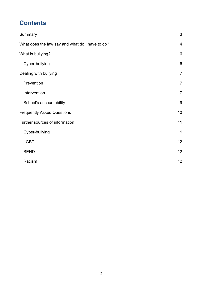# **Contents**

| Summary                                         | 3               |
|-------------------------------------------------|-----------------|
| What does the law say and what do I have to do? | $\overline{4}$  |
| What is bullying?                               | 6               |
| Cyber-bullying                                  | $6\phantom{1}6$ |
| Dealing with bullying                           | $\overline{7}$  |
| Prevention                                      | $\overline{7}$  |
| Intervention                                    | $\overline{7}$  |
| School's accountability                         | 9               |
| <b>Frequently Asked Questions</b>               | 10              |
| Further sources of information                  | 11              |
| Cyber-bullying                                  | 11              |
| <b>LGBT</b>                                     | 12              |
| <b>SEND</b>                                     | 12              |
| Racism                                          | 12              |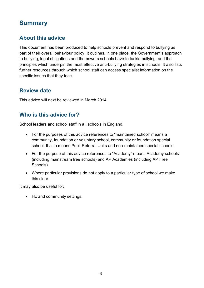# <span id="page-2-0"></span>**Summary**

## **About this advice**

This document has been produced to help schools prevent and respond to bullying as part of their overall behaviour policy. It outlines, in one place, the Government's approach to bullying, legal obligations and the powers schools have to tackle bullying, and the principles which underpin the most effective anti-bullying strategies in schools. It also lists further resources through which school staff can access specialist information on the specific issues that they face.

#### **Review date**

This advice will next be reviewed in March 2014.

## **Who is this advice for?**

School leaders and school staff in **all** schools in England.

- For the purposes of this advice references to "maintained school" means a community, foundation or voluntary school, community or foundation special school. It also means Pupil Referral Units and non-maintained special schools.
- For the purpose of this advice references to "Academy" means Academy schools (including mainstream free schools) and AP Academies (including AP Free Schools).
- Where particular provisions do not apply to a particular type of school we make this clear.

It may also be useful for:

• FE and community settings.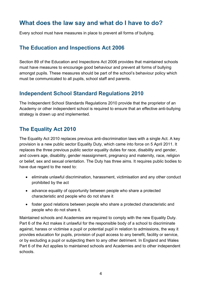# <span id="page-3-0"></span>**What does the law say and what do I have to do?**

Every school must have measures in place to prevent all forms of bullying.

#### **The Education and Inspections Act 2006**

Section 89 of the Education and Inspections Act 2006 provides that maintained schools must have measures to encourage good behaviour and prevent all forms of bullying amongst pupils. These measures should be part of the school's behaviour policy which must be communicated to all pupils, school staff and parents.

#### **Independent School Standard Regulations 2010**

The Independent School Standards Regulations 2010 provide that the proprietor of an Academy or other independent school is required to ensure that an effective anti-bullying strategy is drawn up and implemented.

## **The Equality Act 2010**

The Equality Act 2010 replaces previous anti-discrimination laws with a single Act. A key provision is a new public sector Equality Duty, which came into force on 5 April 2011. It replaces the three previous public sector equality duties for race, disability and gender, and covers age, disability, gender reassignment, pregnancy and maternity, race, religion or belief, sex and sexual orientation. The Duty has three aims. It requires public bodies to have due regard to the need to:

- eliminate unlawful discrimination, harassment, victimisation and any other conduct prohibited by the act
- advance equality of opportunity between people who share a protected characteristic and people who do not share it
- foster good relations between people who share a protected characteristic and people who do not share it.

Maintained schools and Academies are required to comply with the new Equality Duty. Part 6 of the Act makes it unlawful for the responsible body of a school to discriminate against, harass or victimise a pupil or potential pupil in relation to admissions, the way it provides education for pupils, provision of pupil access to any benefit, facility or service, or by excluding a pupil or subjecting them to any other detriment. In England and Wales Part 6 of the Act applies to maintained schools and Academies and to other independent schools.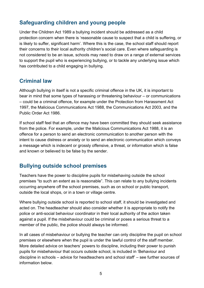## **Safeguarding children and young people**

Under the Children Act 1989 a bullying incident should be addressed as a child protection concern when there is 'reasonable cause to suspect that a child is suffering, or is likely to suffer, significant harm'. Where this is the case, the school staff should report their concerns to their local authority children's social care. Even where safeguarding is not considered to be an issue, schools may need to draw on a range of external services to support the pupil who is experiencing bullying, or to tackle any underlying issue which has contributed to a child engaging in bullying.

#### **Criminal law**

Although bullying in itself is not a specific criminal offence in the UK, it is important to bear in mind that some types of harassing or threatening behaviour – or communications – could be a criminal offence, for example under the Protection from Harassment Act 1997, the Malicious Communications Act 1988, the Communications Act 2003, and the Public Order Act 1986.

If school staff feel that an offence may have been committed they should seek assistance from the police. For example, under the Malicious Communications Act 1988, it is an offence for a person to send an electronic communication to another person with the intent to cause distress or anxiety or to send an electronic communication which conveys a message which is indecent or grossly offensive, a threat, or information which is false and known or believed to be false by the sender.

#### **Bullying outside school premises**

Teachers have the power to discipline pupils for misbehaving outside the school premises "to such an extent as is reasonable". This can relate to any bullying incidents occurring anywhere off the school premises, such as on school or public transport, outside the local shops, or in a town or village centre.

Where bullying outside school is reported to school staff, it should be investigated and acted on. The headteacher should also consider whether it is appropriate to notify the police or anti-social behaviour coordinator in their local authority of the action taken against a pupil. If the misbehaviour could be criminal or poses a serious threat to a member of the public, the police should always be informed.

In all cases of misbehaviour or bullying the teacher can only discipline the pupil on school premises or elsewhere when the pupil is under the lawful control of the staff member. More detailed advice on teachers' powers to discipline, including their power to punish pupils for misbehaviour that occurs outside school, is included in 'Behaviour and discipline in schools – advice for headteachers and school staff' *–* see further sources of information below.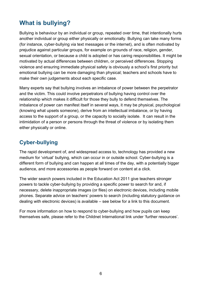# <span id="page-5-0"></span>**What is bullying?**

Bullying is behaviour by an individual or group, repeated over time, that intentionally hurts another individual or group either physically or emotionally. Bullying can take many forms (for instance, cyber-bullying via text messages or the internet), and is often motivated by prejudice against particular groups, for example on grounds of race, religion, gender, sexual orientation, or because a child is adopted or has caring responsibilities. It might be motivated by actual differences between children, or perceived differences. Stopping violence and ensuring immediate physical safety is obviously a school's first priority but emotional bullying can be more damaging than physical; teachers and schools have to make their own judgements about each specific case.

Many experts say that bullying involves an imbalance of power between the perpetrator and the victim. This could involve perpetrators of bullying having control over the relationship which makes it difficult for those they bully to defend themselves. The imbalance of power can manifest itself in several ways, it may be physical, psychological (knowing what upsets someone), derive from an intellectual imbalance, or by having access to the support of a group, or the capacity to socially isolate. It can result in the intimidation of a person or persons through the threat of violence or by isolating them either physically or online.

## <span id="page-5-1"></span>**Cyber-bullying**

The rapid development of, and widespread access to, technology has provided a new medium for 'virtual' bullying, which can occur in or outside school. Cyber-bullying is a different form of bullying and can happen at all times of the day, with a potentially bigger audience, and more accessories as people forward on content at a click.

The wider search powers included in the Education Act 2011 give teachers stronger powers to tackle cyber-bullying by providing a specific power to search for and, if necessary, delete inappropriate images (or files) on electronic devices, including mobile phones. Separate advice on teachers' powers to search (including statutory guidance on dealing with electronic devices) is available – see below for a link to this document.

For more information on how to respond to cyber-bullying and how pupils can keep themselves safe, please refer to the Childnet International link under 'further resources'.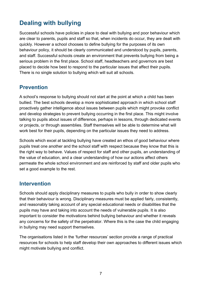# <span id="page-6-0"></span>**Dealing with bullying**

Successful schools have policies in place to deal with bullying and poor behaviour which are clear to parents, pupils and staff so that, when incidents do occur, they are dealt with quickly. However a school chooses to define bullying for the purposes of its own behaviour policy, it should be clearly communicated and understood by pupils, parents, and staff. Successful schools create an environment that prevents bullying from being a serious problem in the first place. School staff, headteachers and governors are best placed to decide how best to respond to the particular issues that affect their pupils. There is no single solution to bullying which will suit all schools.

#### <span id="page-6-1"></span>**Prevention**

A school's response to bullying should not start at the point at which a child has been bullied. The best schools develop a more sophisticated approach in which school staff proactively gather intelligence about issues between pupils which might provoke conflict and develop strategies to prevent bullying occurring in the first place. This might involve talking to pupils about issues of difference, perhaps in lessons, through dedicated events or projects, or through assemblies. Staff themselves will be able to determine what will work best for their pupils, depending on the particular issues they need to address.

Schools which excel at tackling bullying have created an ethos of good behaviour where pupils treat one another and the school staff with respect because they know that this is the right way to behave. Values of respect for staff and other pupils, an understanding of the value of education, and a clear understanding of how our actions affect others permeate the whole school environment and are reinforced by staff and older pupils who set a good example to the rest.

#### <span id="page-6-2"></span>**Intervention**

Schools should apply disciplinary measures to pupils who bully in order to show clearly that their behaviour is wrong. Disciplinary measures must be applied fairly, consistently, and reasonably taking account of any special educational needs or disabilities that the pupils may have and taking into account the needs of vulnerable pupils. It is also important to consider the motivations behind bullying behaviour and whether it reveals any concerns for the safety of the perpetrator. Where this is the case the child engaging in bullying may need support themselves.

The organisations listed in the 'further resources' section provide a range of practical resources for schools to help staff develop their own approaches to different issues which might motivate bullying and conflict.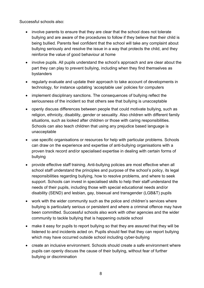Successful schools also:

- involve parents to ensure that they are clear that the school does not tolerate bullying and are aware of the procedures to follow if they believe that their child is being bullied. Parents feel confident that the school will take any complaint about bullying seriously and resolve the issue in a way that protects the child, and they reinforce the value of good behaviour at home
- involve pupils. All pupils understand the school's approach and are clear about the part they can play to prevent bullying, including when they find themselves as bystanders
- regularly evaluate and update their approach to take account of developments in technology, for instance updating 'acceptable use' policies for computers
- implement disciplinary sanctions. The consequences of bullying reflect the seriousness of the incident so that others see that bullying is unacceptable
- openly discuss differences between people that could motivate bullying, such as religion, ethnicity, disability, gender or sexuality. Also children with different family situations, such as looked after children or those with caring responsibilities. Schools can also teach children that using any prejudice based language is unacceptable
- use specific organisations or resources for help with particular problems. Schools can draw on the experience and expertise of anti-bullying organisations with a proven track record and/or specialised expertise in dealing with certain forms of bullying
- provide effective staff training. Anti-bullying policies are most effective when all school staff understand the principles and purpose of the school's policy, its legal responsibilities regarding bullying, how to resolve problems, and where to seek support. Schools can invest in specialised skills to help their staff understand the needs of their pupils, including those with special educational needs and/or disability (SEND) and lesbian, gay, bisexual and transgender (LGB&T) pupils
- work with the wider community such as the police and children's services where bullying is particularly serious or persistent and where a criminal offence may have been committed. Successful schools also work with other agencies and the wider community to tackle bullying that is happening outside school
- make it easy for pupils to report bullying so that they are assured that they will be listened to and incidents acted on. Pupils should feel that they can report bullying which may have occurred outside school including cyber-bullying
- create an inclusive environment. Schools should create a safe environment where pupils can openly discuss the cause of their bullying, without fear of further bullying or discrimination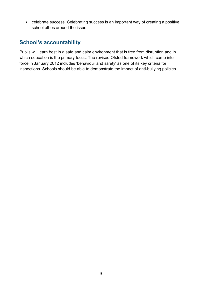• celebrate success. Celebrating success is an important way of creating a positive school ethos around the issue.

## <span id="page-8-0"></span>**School's accountability**

Pupils will learn best in a safe and calm environment that is free from disruption and in which education is the primary focus. The revised Ofsted framework which came into force in January 2012 includes 'behaviour and safety' as one of its key criteria for inspections. Schools should be able to demonstrate the impact of anti-bullying policies.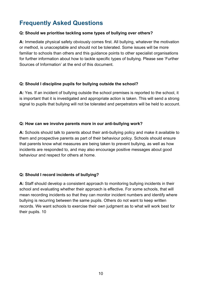# <span id="page-9-0"></span>**Frequently Asked Questions**

#### **Q: Should we prioritise tackling some types of bullying over others?**

**A:** Immediate physical safety obviously comes first. All bullying, whatever the motivation or method, is unacceptable and should not be tolerated. Some issues will be more familiar to schools than others and this guidance points to other specialist organisations for further information about how to tackle specific types of bullying. Please see 'Further Sources of Information' at the end of this document.

#### **Q: Should I discipline pupils for bullying outside the school?**

**A:** Yes. If an incident of bullying outside the school premises is reported to the school, it is important that it is investigated and appropriate action is taken. This will send a strong signal to pupils that bullying will not be tolerated and perpetrators will be held to account.

#### **Q: How can we involve parents more in our anti-bullying work?**

**A:** Schools should talk to parents about their anti-bullying policy and make it available to them and prospective parents as part of their behaviour policy. Schools should ensure that parents know what measures are being taken to prevent bullying, as well as how incidents are responded to, and may also encourage positive messages about good behaviour and respect for others at home.

#### **Q: Should I record incidents of bullying?**

**A:** Staff should develop a consistent approach to monitoring bullying incidents in their school and evaluating whether their approach is effective. For some schools, that will mean recording incidents so that they can monitor incident numbers and identify where bullying is recurring between the same pupils. Others do not want to keep written records. We want schools to exercise their own judgment as to what will work best for their pupils. 10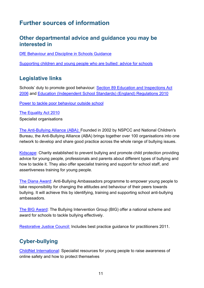# <span id="page-10-0"></span>**Further sources of information**

#### **Other departmental advice and guidance you may be interested in**

[DfE Behaviour and Discipline in Schools Guidance](https://www.gov.uk/government/publications/behaviour-and-discipline-in-schools)

[Supporting children and young people who are bullied: advice for schools](https://www.gov.uk/government/publications/preventing-and-tackling-bullying)

#### **Legislative links**

Schools' duty to promote good behaviour: [Section 89 Education and Inspections Act](http://www.legislation.gov.uk/ukpga/2006/40/section/89)  [2006](http://www.legislation.gov.uk/ukpga/2006/40/section/89) and [Education \(Independent School Standards\) \(England\) Regulations 2010](http://www.legislation.gov.uk/uksi/2010/1997/contents/made)

[Power to tackle poor behaviour outside school](http://www.legislation.gov.uk/ukpga/2006/40/section/90)

[The Equality Act 2010](http://www.legislation.gov.uk/ukpga/2010/15/contents) Specialist organisations

[The Anti-Bullying Alliance \(ABA\):](http://www.anti-bullyingalliance.org.uk/) Founded in 2002 by NSPCC and National Children's Bureau, the Anti-Bullying Alliance (ABA) brings together over 100 organisations into one network to develop and share good practice across the whole range of bullying issues.

[Kidscape:](http://www.kidscape.org.uk/) Charity established to prevent bullying and promote child protection providing advice for young people, professionals and parents about different types of bullying and how to tackle it. They also offer specialist training and support for school staff, and assertiveness training for young people.

[The Diana Award:](http://diana-award.org.uk/) Anti-Bullying Ambassadors programme to empower young people to take responsibility for changing the attitudes and behaviour of their peers towards bullying. It will achieve this by identifying, training and supporting school anti-bullying ambassadors.

[The BIG Award:](https://www.bullyinginterventiongroup.co.uk/index.php) The Bullying Intervention Group (BIG) offer a national scheme and award for schools to tackle bullying effectively.

[Restorative Justice Council:](http://www.restorativejustice.org.uk/what_is_restorative_justice/with_young_people/schools) Includes best practice guidance for practitioners 2011.

## <span id="page-10-1"></span>**Cyber-bullying**

ChildNet [International:](http://www.childnet.com/) Specialist resources for young people to raise awareness of online safety and how to protect themselves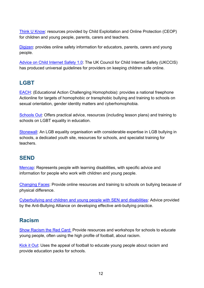[Think U Know:](https://www.thinkuknow.co.uk/) resources provided by Child Exploitation and Online Protection (CEOP) for children and young people, parents, carers and teachers.

[Digizen:](http://www.digizen.org/) provides online safety information for educators, parents, carers and young people.

[Advice on Child Internet Safety 1.0:](https://www.gov.uk/government/publications/advice-on-child-internet-safety-10-universal-guidelines-for-providers) The UK Council for Child Internet Safety (UKCCIS) has produced universal guidelines for providers on keeping children safe online.

# <span id="page-11-0"></span>**LGBT**

[EACH:](http://www.eachaction.org.uk/) (Educational Action Challenging Homophobia): provides a national freephone Actionline for targets of homophobic or transphobic bullying and training to schools on sexual orientation, gender identity matters and cyberhomophobia.

[Schools Out:](http://www.schools-out.org.uk/) Offers practical advice, resources (including lesson plans) and training to schools on LGBT equality in education.

[Stonewall:](http://www.stonewall.org.uk/) An LGB equality organisation with considerable expertise in LGB bullying in schools, a dedicated youth site, resources for schools, and specialist training for teachers.

#### <span id="page-11-1"></span>**SEND**

[Mencap:](http://www.mencap.org.uk/) Represents people with learning disabilities, with specific advice and information for people who work with children and young people.

[Changing Faces:](https://www.changingfaces.org.uk/Home) Provide online resources and training to schools on bullying because of physical difference.

[Cyberbullying and children and young people with SEN and disabilities:](http://www.cafamily.org.uk/media/750755/cyberbullying_and_send_-_module_final.pdf) Advice provided by the Anti-Bullying Alliance on developing effective anti-bullying practice.

## <span id="page-11-2"></span>**Racism**

[Show Racism the Red Card:](http://www.srtrc.org/educational) Provide resources and workshops for schools to educate young people, often using the high profile of football, about racism.

[Kick it Out:](http://www.kickitout.org/359.php) Uses the appeal of football to educate young people about racism and provide education packs for schools.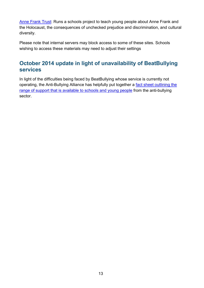[Anne Frank Trust:](http://www.annefrank.org.uk/what-we-do/schools-project/our-work-schools) Runs a schools project to teach young people about Anne Frank and the Holocaust, the consequences of unchecked prejudice and discrimination, and cultural diversity.

Please note that internal servers may block access to some of these sites. Schools wishing to access these materials may need to adjust their settings

#### **October 2014 update in light of unavailability of BeatBullying services**

In light of the difficulties being faced by BeatBullying whose service is currently not operating, the Anti-Bullying Alliance has helpfully put together a [fact sheet outlining the](http://www.anti-bullyingalliance.org.uk/advice/support-from-the-sector/)  [range of support that is available to schools and young](http://www.anti-bullyingalliance.org.uk/advice/support-from-the-sector/) people from the anti-bullying sector.